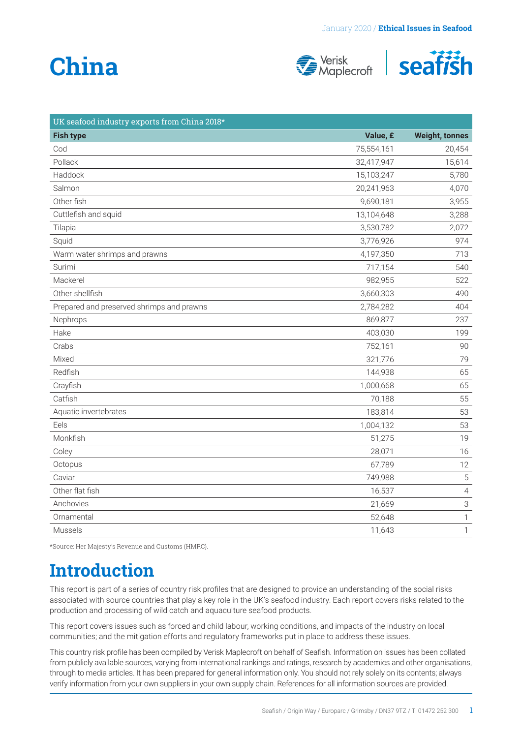# **China**





| UK seafood industry exports from China 2018* |            |                           |
|----------------------------------------------|------------|---------------------------|
| <b>Fish type</b>                             | Value, £   | <b>Weight, tonnes</b>     |
| Cod                                          | 75,554,161 | 20,454                    |
| Pollack                                      | 32,417,947 | 15,614                    |
| Haddock                                      | 15,103,247 | 5,780                     |
| Salmon                                       | 20,241,963 | 4,070                     |
| Other fish                                   | 9,690,181  | 3,955                     |
| Cuttlefish and squid                         | 13,104,648 | 3,288                     |
| Tilapia                                      | 3,530,782  | 2,072                     |
| Squid                                        | 3,776,926  | 974                       |
| Warm water shrimps and prawns                | 4,197,350  | 713                       |
| Surimi                                       | 717,154    | 540                       |
| Mackerel                                     | 982,955    | 522                       |
| Other shellfish                              | 3,660,303  | 490                       |
| Prepared and preserved shrimps and prawns    | 2,784,282  | 404                       |
| Nephrops                                     | 869,877    | 237                       |
| Hake                                         | 403,030    | 199                       |
| Crabs                                        | 752,161    | 90                        |
| Mixed                                        | 321,776    | 79                        |
| Redfish                                      | 144,938    | 65                        |
| Crayfish                                     | 1,000,668  | 65                        |
| Catfish                                      | 70,188     | 55                        |
| Aquatic invertebrates                        | 183,814    | 53                        |
| Eels                                         | 1,004,132  | 53                        |
| Monkfish                                     | 51,275     | 19                        |
| Coley                                        | 28,071     | 16                        |
| Octopus                                      | 67,789     | 12                        |
| Caviar                                       | 749,988    | $\mathbf 5$               |
| Other flat fish                              | 16,537     | $\overline{4}$            |
| Anchovies                                    | 21,669     | $\ensuremath{\mathsf{3}}$ |
| Ornamental                                   | 52,648     | $\mathbf{1}$              |
| Mussels                                      | 11,643     | $\mathbf{1}$              |

\*Source: Her Majesty's Revenue and Customs (HMRC).

### **Introduction**

This report is part of a series of country risk profiles that are designed to provide an understanding of the social risks associated with source countries that play a key role in the UK's seafood industry. Each report covers risks related to the production and processing of wild catch and aquaculture seafood products.

This report covers issues such as forced and child labour, working conditions, and impacts of the industry on local communities; and the mitigation efforts and regulatory frameworks put in place to address these issues.

This country risk profile has been compiled by Verisk Maplecroft on behalf of Seafish. Information on issues has been collated from publicly available sources, varying from international rankings and ratings, research by academics and other organisations, through to media articles. It has been prepared for general information only. You should not rely solely on its contents; always verify information from your own suppliers in your own supply chain. References for all information sources are provided.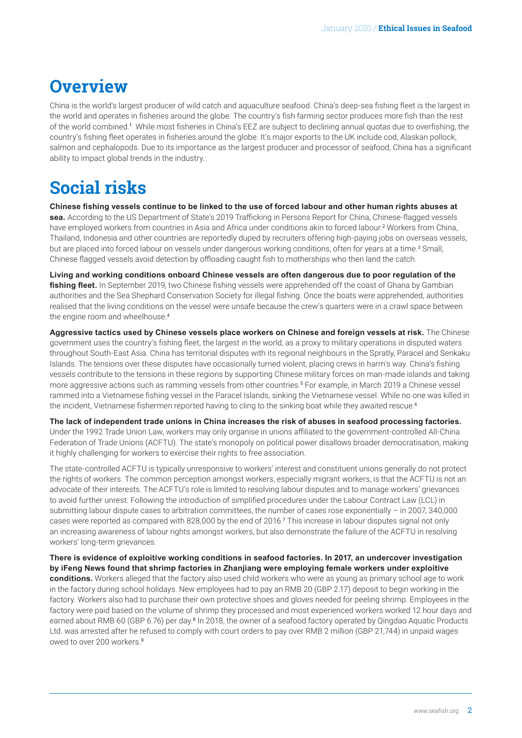### <span id="page-1-0"></span>**Overview**

China is the world's largest producer of wild catch and aquaculture seafood. China's deep-sea fishing fleet is the largest in the world and operates in fisheries around the globe. The country's fish farming sector produces more fish than the rest of the world combined.[1](#page-4-0) While most fisheries in China's EEZ are subject to declining annual quotas due to overfishing, the country's fishing fleet operates in fisheries around the globe. It's major exports to the UK include cod, Alaskan pollock, salmon and cephalopods. Due to its importance as the largest producer and processor of seafood, China has a significant ability to impact global trends in the industry.

### **Social risks**

**Chinese fishing vessels continue to be linked to the use of forced labour and other human rights abuses at sea.** According to the US Department of State's 2019 Trafficking in Persons Report for China, Chinese-flagged vessels have employed workers from countries in Asia and Africa under conditions akin to forced labour.<sup>[2](#page-4-0)</sup> Workers from China, Thailand, Indonesia and other countries are reportedly duped by recruiters offering high-paying jobs on overseas vessels, but are placed into forced labour on vessels under dangerous working conditions, often for years at a time.<sup>[3](#page-4-0)</sup> Small, Chinese flagged vessels avoid detection by offloading caught fish to motherships who then land the catch.

**Living and working conditions onboard Chinese vessels are often dangerous due to poor regulation of the fishing fleet.** In September 2019, two Chinese fishing vessels were apprehended off the coast of Ghana by Gambian authorities and the Sea Shephard Conservation Society for illegal fishing. Once the boats were apprehended, authorities realised that the living conditions on the vessel were unsafe because the crew's quarters were in a crawl space between the engine room and wheelhouse.<sup>[4](#page-4-0)</sup>

**Aggressive tactics used by Chinese vessels place workers on Chinese and foreign vessels at risk.** The Chinese government uses the country's fishing fleet, the largest in the world, as a proxy to military operations in disputed waters throughout South-East Asia. China has territorial disputes with its regional neighbours in the Spratly, Paracel and Senkaku Islands. The tensions over these disputes have occasionally turned violent, placing crews in harm's way. China's fishing vessels contribute to the tensions in these regions by supporting Chinese military forces on man-made islands and taking more aggressive actions such as ramming vessels from other countries.[5](#page-4-0) For example, in March 2019 a Chinese vessel rammed into a Vietnamese fishing vessel in the Paracel Islands, sinking the Vietnamese vessel. While no one was killed in the incident, Vietnamese fishermen reported having to cling to the sinking boat while they awaited rescue.<sup>[6](#page-4-0)</sup>

**The lack of independent trade unions in China increases the risk of abuses in seafood processing factories.** Under the 1992 Trade Union Law, workers may only organise in unions affiliated to the government-controlled All-China Federation of Trade Unions (ACFTU). The state's monopoly on political power disallows broader democratisation, making it highly challenging for workers to exercise their rights to free association.

The state-controlled ACFTU is typically unresponsive to workers' interest and constituent unions generally do not protect the rights of workers. The common perception amongst workers, especially migrant workers, is that the ACFTU is not an advocate of their interests. The ACFTU's role is limited to resolving labour disputes and to manage workers' grievances to avoid further unrest. Following the introduction of simplified procedures under the Labour Contract Law (LCL) in submitting labour dispute cases to arbitration committees, the number of cases rose exponentially – in 2007, 340,000 cases were reported as compared with 828,000 by the end of 2016.[7](#page-4-0) This increase in labour disputes signal not only an increasing awareness of labour rights amongst workers, but also demonstrate the failure of the ACFTU in resolving workers' long-term grievances.

**There is evidence of exploitive working conditions in seafood factories. In 2017, an undercover investigation by iFeng News found that shrimp factories in Zhanjiang were employing female workers under exploitive conditions.** Workers alleged that the factory also used child workers who were as young as primary school age to work in the factory during school holidays. New employees had to pay an RMB 20 (GBP 2.17) deposit to begin working in the factory. Workers also had to purchase their own protective shoes and gloves needed for peeling shrimp. Employees in the factory were paid based on the volume of shrimp they processed and most experienced workers worked 12 hour days and earned about RMB 60 (GBP 6.76) per day.<sup>[8](#page-4-0)</sup> In 2018, the owner of a seafood factory operated by Qingdao Aquatic Products Ltd. was arrested after he refused to comply with court orders to pay over RMB 2 million (GBP 21,744) in unpaid wages owed to over 200 workers.[9](#page-4-0)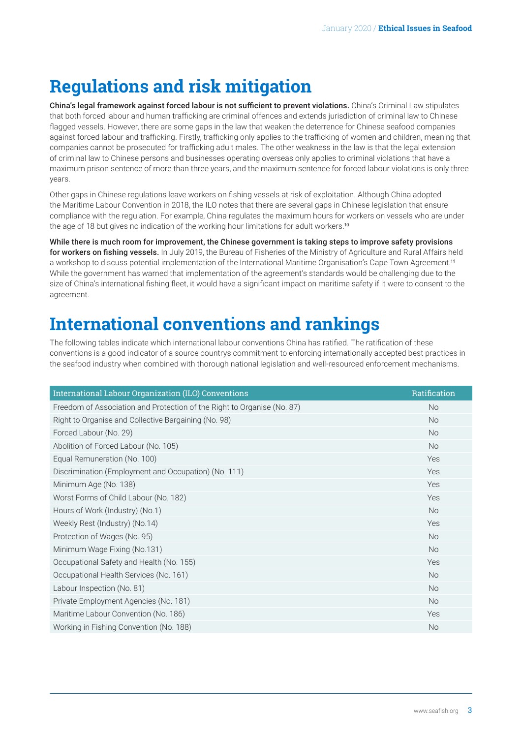## <span id="page-2-0"></span>**Regulations and risk mitigation**

China's legal framework against forced labour is not sufficient to prevent violations. China's Criminal Law stipulates that both forced labour and human trafficking are criminal offences and extends jurisdiction of criminal law to Chinese flagged vessels. However, there are some gaps in the law that weaken the deterrence for Chinese seafood companies against forced labour and trafficking. Firstly, trafficking only applies to the trafficking of women and children, meaning that companies cannot be prosecuted for trafficking adult males. The other weakness in the law is that the legal extension of criminal law to Chinese persons and businesses operating overseas only applies to criminal violations that have a maximum prison sentence of more than three years, and the maximum sentence for forced labour violations is only three years.

Other gaps in Chinese regulations leave workers on fishing vessels at risk of exploitation. Although China adopted the Maritime Labour Convention in 2018, the ILO notes that there are several gaps in Chinese legislation that ensure compliance with the regulation. For example, China regulates the maximum hours for workers on vessels who are under the age of 18 but gives no indication of the working hour limitations for adult workers.<sup>[10](#page-4-0)</sup>

While there is much room for improvement, the Chinese government is taking steps to improve safety provisions for workers on fishing vessels. In July 2019, the Bureau of Fisheries of the Ministry of Agriculture and Rural Affairs held a workshop to discuss potential implementation of the International Maritime Organisation's Cape Town Agreement.<sup>[11](#page-4-0)</sup> While the government has warned that implementation of the agreement's standards would be challenging due to the size of China's international fishing fleet, it would have a significant impact on maritime safety if it were to consent to the agreement.

### **International conventions and rankings**

The following tables indicate which international labour conventions China has ratified. The ratification of these conventions is a good indicator of a source countrys commitment to enforcing internationally accepted best practices in the seafood industry when combined with thorough national legislation and well-resourced enforcement mechanisms.

| International Labour Organization (ILO) Conventions                     | Ratification |
|-------------------------------------------------------------------------|--------------|
| Freedom of Association and Protection of the Right to Organise (No. 87) | <b>No</b>    |
| Right to Organise and Collective Bargaining (No. 98)                    | <b>No</b>    |
| Forced Labour (No. 29)                                                  | <b>No</b>    |
| Abolition of Forced Labour (No. 105)                                    | <b>No</b>    |
| Equal Remuneration (No. 100)                                            | Yes          |
| Discrimination (Employment and Occupation) (No. 111)                    | Yes          |
| Minimum Age (No. 138)                                                   | Yes          |
| Worst Forms of Child Labour (No. 182)                                   | Yes          |
| Hours of Work (Industry) (No.1)                                         | <b>No</b>    |
| Weekly Rest (Industry) (No.14)                                          | Yes          |
| Protection of Wages (No. 95)                                            | <b>No</b>    |
| Minimum Wage Fixing (No.131)                                            | <b>No</b>    |
| Occupational Safety and Health (No. 155)                                | Yes          |
| Occupational Health Services (No. 161)                                  | <b>No</b>    |
| Labour Inspection (No. 81)                                              | <b>No</b>    |
| Private Employment Agencies (No. 181)                                   | <b>No</b>    |
| Maritime Labour Convention (No. 186)                                    | Yes          |
| Working in Fishing Convention (No. 188)                                 | <b>No</b>    |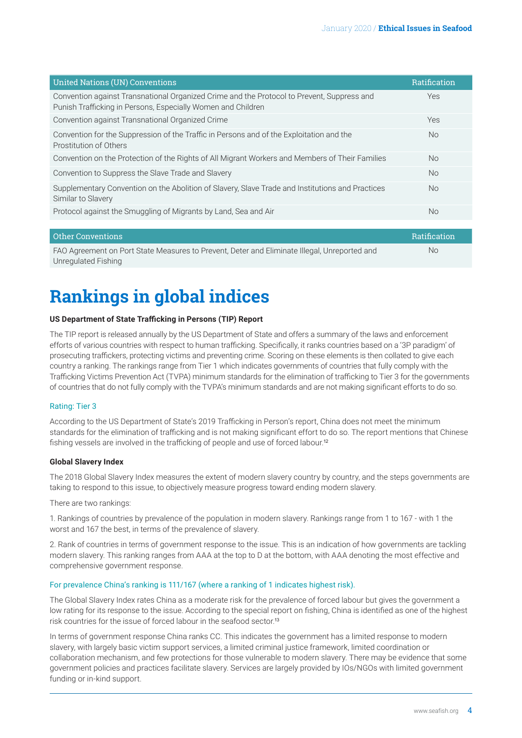<span id="page-3-0"></span>

| United Nations (UN) Conventions                                                                                                                            | Ratification |
|------------------------------------------------------------------------------------------------------------------------------------------------------------|--------------|
| Convention against Transnational Organized Crime and the Protocol to Prevent, Suppress and<br>Punish Trafficking in Persons, Especially Women and Children | Yes          |
| Convention against Transnational Organized Crime                                                                                                           | Yes          |
| Convention for the Suppression of the Traffic in Persons and of the Exploitation and the<br>Prostitution of Others                                         | <b>No</b>    |
| Convention on the Protection of the Rights of All Migrant Workers and Members of Their Families                                                            | No.          |
| Convention to Suppress the Slave Trade and Slavery                                                                                                         | <b>No</b>    |
| Supplementary Convention on the Abolition of Slavery, Slave Trade and Institutions and Practices<br>Similar to Slavery                                     | <b>No</b>    |
| Protocol against the Smuggling of Migrants by Land, Sea and Air                                                                                            | <b>No</b>    |
|                                                                                                                                                            |              |

| Other Conventions                                                                            | Ratification |
|----------------------------------------------------------------------------------------------|--------------|
| FAO Agreement on Port State Measures to Prevent, Deter and Eliminate Illegal, Unreported and | No.          |
| Unregulated Fishing                                                                          |              |

### **Rankings in global indices**

#### **US Department of State Trafficking in Persons (TIP) Report**

The TIP report is released annually by the US Department of State and offers a summary of the laws and enforcement efforts of various countries with respect to human trafficking. Specifically, it ranks countries based on a '3P paradigm' of prosecuting traffickers, protecting victims and preventing crime. Scoring on these elements is then collated to give each country a ranking. The rankings range from Tier 1 which indicates governments of countries that fully comply with the Trafficking Victims Prevention Act (TVPA) minimum standards for the elimination of trafficking to Tier 3 for the governments of countries that do not fully comply with the TVPA's minimum standards and are not making significant efforts to do so.

#### Rating: Tier 3

According to the US Department of State's 2019 Trafficking in Person's report, China does not meet the minimum standards for the elimination of trafficking and is not making significant effort to do so. The report mentions that Chinese fishing vessels are involved in the trafficking of people and use of forced labour.[12](#page-4-0)

#### **Global Slavery Index**

The 2018 Global Slavery Index measures the extent of modern slavery country by country, and the steps governments are taking to respond to this issue, to objectively measure progress toward ending modern slavery.

There are two rankings:

1. Rankings of countries by prevalence of the population in modern slavery. Rankings range from 1 to 167 - with 1 the worst and 167 the best, in terms of the prevalence of slavery.

2. Rank of countries in terms of government response to the issue. This is an indication of how governments are tackling modern slavery. This ranking ranges from AAA at the top to D at the bottom, with AAA denoting the most effective and comprehensive government response.

#### For prevalence China's ranking is 111/167 (where a ranking of 1 indicates highest risk).

The Global Slavery Index rates China as a moderate risk for the prevalence of forced labour but gives the government a low rating for its response to the issue. According to the special report on fishing, China is identified as one of the highest risk countries for the issue of forced labour in the seafood sector.[13](#page-4-0)

In terms of government response China ranks CC. This indicates the government has a limited response to modern slavery, with largely basic victim support services, a limited criminal justice framework, limited coordination or collaboration mechanism, and few protections for those vulnerable to modern slavery. There may be evidence that some government policies and practices facilitate slavery. Services are largely provided by IOs/NGOs with limited government funding or in-kind support.